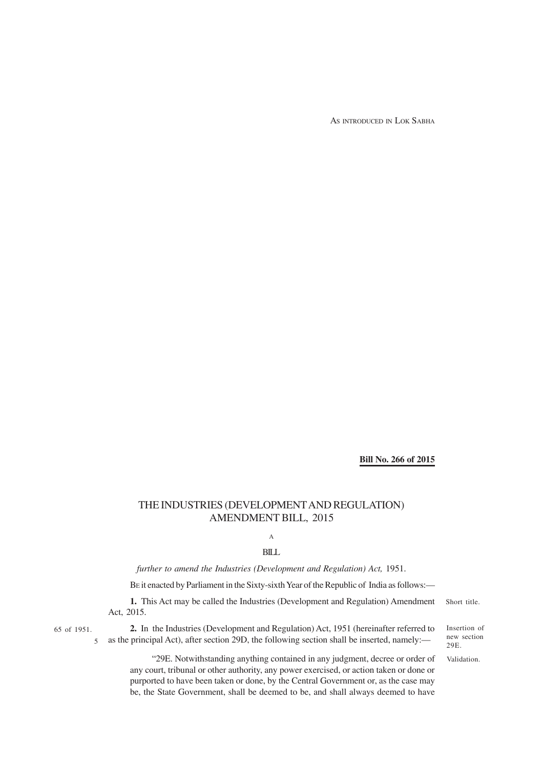AS INTRODUCED IN LOK SABHA

**Bill No. 266 of 2015**

# THE INDUSTRIES (DEVELOPMENT AND REGULATION) AMENDMENT BILL, 2015

A

BILL

*further to amend the Industries (Development and Regulation) Act,* 1951.

BE it enacted by Parliament in the Sixty-sixth Year of the Republic of India as follows:—

**1.** This Act may be called the Industries (Development and Regulation) Amendment Act, 2015. Short title.

65 of 1951.

5

**2.** In the Industries (Development and Regulation) Act, 1951 (hereinafter referred to as the principal Act), after section 29D, the following section shall be inserted, namely:—

Insertion of new section 29E.

Validation.

"29E. Notwithstanding anything contained in any judgment, decree or order of any court, tribunal or other authority, any power exercised, or action taken or done or purported to have been taken or done, by the Central Government or, as the case may be, the State Government, shall be deemed to be, and shall always deemed to have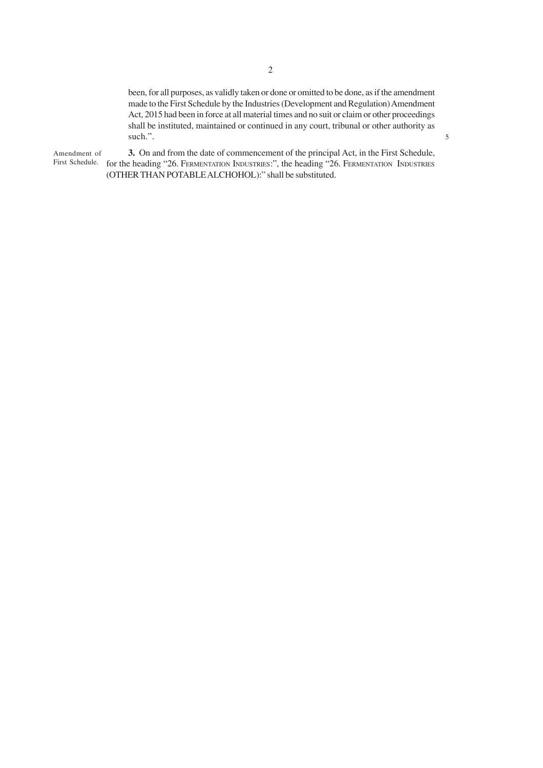been, for all purposes, as validly taken or done or omitted to be done, as if the amendment made to the First Schedule by the Industries (Development and Regulation) Amendment Act, 2015 had been in force at all material times and no suit or claim or other proceedings shall be instituted, maintained or continued in any court, tribunal or other authority as such.".

5

**3.** On and from the date of commencement of the principal Act, in the First Schedule, First Schedule. for the heading "26. FERMENTATION INDUSTRIES:", the heading "26. FERMENTATION INDUSTRIES (OTHER THAN POTABLE ALCHOHOL):" shall be substituted. Amendment of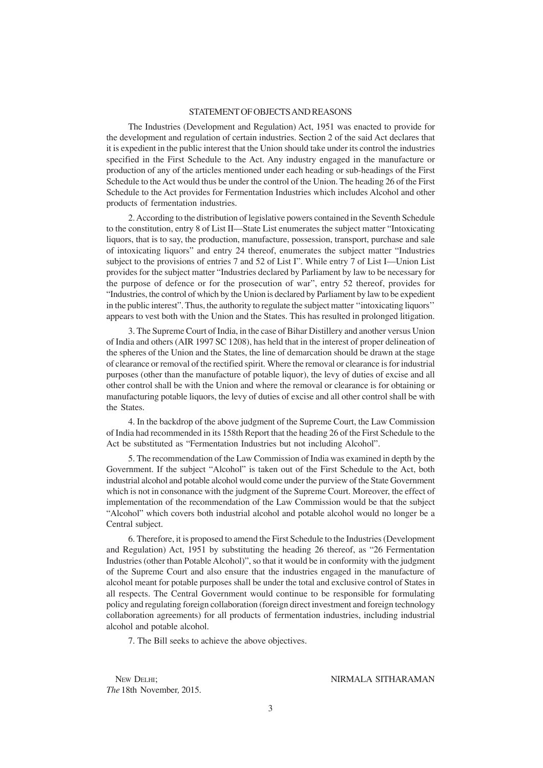#### STATEMENT OF OBJECTS AND REASONS

The Industries (Development and Regulation) Act, 1951 was enacted to provide for the development and regulation of certain industries. Section 2 of the said Act declares that it is expedient in the public interest that the Union should take under its control the industries specified in the First Schedule to the Act. Any industry engaged in the manufacture or production of any of the articles mentioned under each heading or sub-headings of the First Schedule to the Act would thus be under the control of the Union. The heading 26 of the First Schedule to the Act provides for Fermentation Industries which includes Alcohol and other products of fermentation industries.

2. According to the distribution of legislative powers contained in the Seventh Schedule to the constitution, entry 8 of List II—State List enumerates the subject matter "Intoxicating liquors, that is to say, the production, manufacture, possession, transport, purchase and sale of intoxicating liquors" and entry 24 thereof, enumerates the subject matter "Industries subject to the provisions of entries 7 and 52 of List I". While entry 7 of List I—Union List provides for the subject matter "Industries declared by Parliament by law to be necessary for the purpose of defence or for the prosecution of war", entry 52 thereof, provides for "Industries, the control of which by the Union is declared by Parliament by law to be expedient in the public interest". Thus, the authority to regulate the subject matter ''intoxicating liquors'' appears to vest both with the Union and the States. This has resulted in prolonged litigation.

3. The Supreme Court of India, in the case of Bihar Distillery and another versus Union of India and others (AIR 1997 SC 1208), has held that in the interest of proper delineation of the spheres of the Union and the States, the line of demarcation should be drawn at the stage of clearance or removal of the rectified spirit. Where the removal or clearance is for industrial purposes (other than the manufacture of potable liquor), the levy of duties of excise and all other control shall be with the Union and where the removal or clearance is for obtaining or manufacturing potable liquors, the levy of duties of excise and all other control shall be with the States.

4. In the backdrop of the above judgment of the Supreme Court, the Law Commission of India had recommended in its 158th Report that the heading 26 of the First Schedule to the Act be substituted as "Fermentation Industries but not including Alcohol".

5. The recommendation of the Law Commission of India was examined in depth by the Government. If the subject "Alcohol" is taken out of the First Schedule to the Act, both industrial alcohol and potable alcohol would come under the purview of the State Government which is not in consonance with the judgment of the Supreme Court. Moreover, the effect of implementation of the recommendation of the Law Commission would be that the subject "Alcohol" which covers both industrial alcohol and potable alcohol would no longer be a Central subject.

6. Therefore, it is proposed to amend the First Schedule to the Industries (Development and Regulation) Act, 1951 by substituting the heading 26 thereof, as "26 Fermentation Industries (other than Potable Alcohol)", so that it would be in conformity with the judgment of the Supreme Court and also ensure that the industries engaged in the manufacture of alcohol meant for potable purposes shall be under the total and exclusive control of States in all respects. The Central Government would continue to be responsible for formulating policy and regulating foreign collaboration (foreign direct investment and foreign technology collaboration agreements) for all products of fermentation industries, including industrial alcohol and potable alcohol.

7. The Bill seeks to achieve the above objectives.

*The* 18thNovember*,* 2015.

NEW DELHI: NIRMALA SITHARAMAN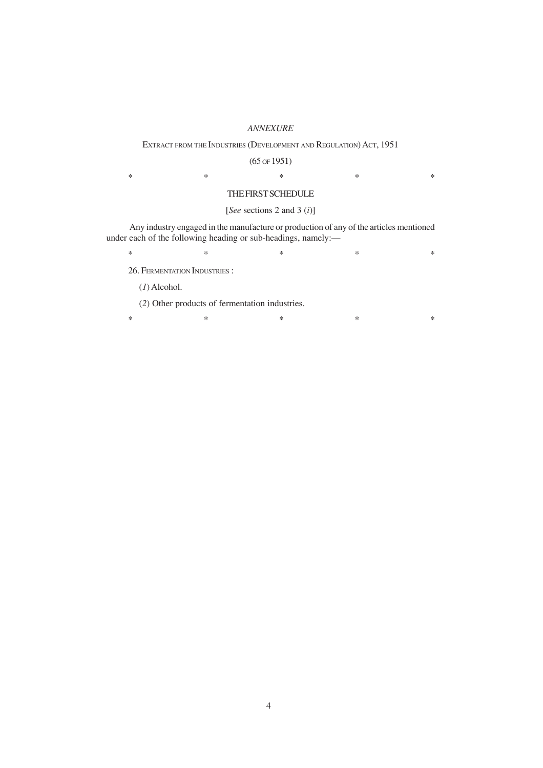#### *ANNEXURE*

#### EXTRACT FROM THE INDUSTRIES (DEVELOPMENT AND REGULATION) ACT, 1951

(65 OF 1951)

 $*$  \*  $*$  \*  $*$  \*  $*$  \*

### THE FIRST SCHEDULE

## [*See* sections 2 and 3 (*i*)]

 Any industry engaged in the manufacture or production of any of the articles mentioned under each of the following heading or sub-headings, namely:—

 $*$  \*  $*$  \*  $*$  \*  $*$  \*

26. FERMENTATION INDUSTRIES :

(*1*) Alcohol.

(*2*) Other products of fermentation industries.

 $*$  \*  $*$  \*  $*$  \*  $*$  \*